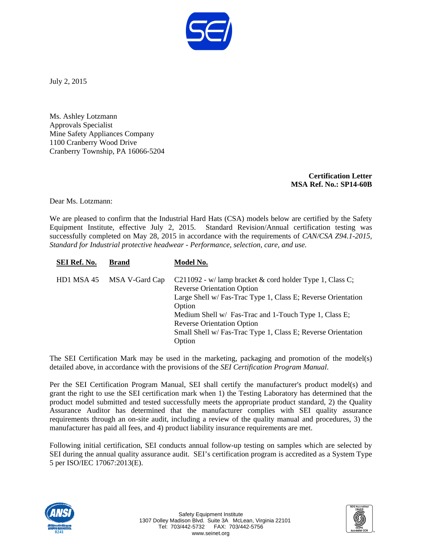

July 2, 2015

Ms. Ashley Lotzmann Approvals Specialist Mine Safety Appliances Company 1100 Cranberry Wood Drive Cranberry Township, PA 16066-5204

> **Certification Letter MSA Ref. No.: SP14-60B**

Dear Ms. Lotzmann:

We are pleased to confirm that the Industrial Hard Hats (CSA) models below are certified by the Safety Equipment Institute, effective July 2, 2015. Standard Revision/Annual certification testing was successfully completed on May 28, 2015 in accordance with the requirements of *CAN/CSA Z94.1-2015, Standard for Industrial protective headwear - Performance, selection, care, and use.*

| SEI Ref. No. | <b>Brand</b>   | Model No.                                                                                                                                                                                                                                                                                                                                      |
|--------------|----------------|------------------------------------------------------------------------------------------------------------------------------------------------------------------------------------------------------------------------------------------------------------------------------------------------------------------------------------------------|
| HD1 MSA 45   | MSA V-Gard Cap | C211092 - w/lamp bracket & cord holder Type 1, Class C;<br><b>Reverse Orientation Option</b><br>Large Shell w/ Fas-Trac Type 1, Class E; Reverse Orientation<br>Option<br>Medium Shell w/ Fas-Trac and 1-Touch Type 1, Class E;<br><b>Reverse Orientation Option</b><br>Small Shell w/ Fas-Trac Type 1, Class E; Reverse Orientation<br>Option |

The SEI Certification Mark may be used in the marketing, packaging and promotion of the model(s) detailed above, in accordance with the provisions of the *SEI Certification Program Manual*.

Per the SEI Certification Program Manual, SEI shall certify the manufacturer's product model(s) and grant the right to use the SEI certification mark when 1) the Testing Laboratory has determined that the product model submitted and tested successfully meets the appropriate product standard, 2) the Quality Assurance Auditor has determined that the manufacturer complies with SEI quality assurance requirements through an on-site audit, including a review of the quality manual and procedures, 3) the manufacturer has paid all fees, and 4) product liability insurance requirements are met.

Following initial certification, SEI conducts annual follow-up testing on samples which are selected by SEI during the annual quality assurance audit. SEI's certification program is accredited as a System Type 5 per ISO/IEC 17067:2013(E).